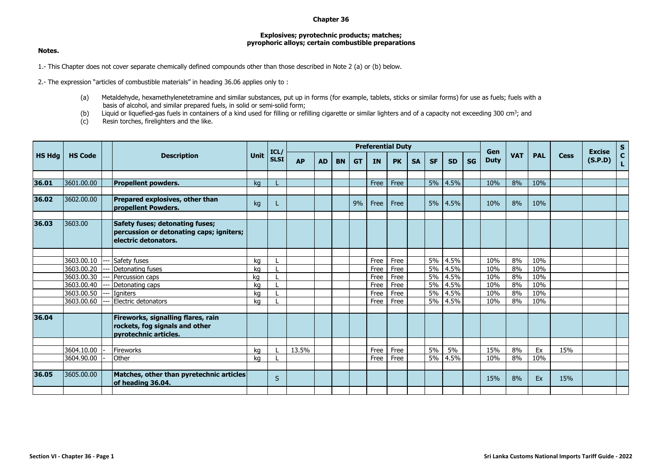## **Chapter 36**

## **Explosives; pyrotechnic products; matches; pyrophoric alloys; certain combustible preparations**

## **Notes.**

1.- This Chapter does not cover separate chemically defined compounds other than those described in Note 2 (a) or (b) below.

2.- The expression "articles of combustible materials" in heading 36.06 applies only to :

- (a) Metaldehyde, hexamethylenetetramine and similar substances, put up in forms (for example, tablets, sticks or similar forms) for use as fuels; fuels with a basis of alcohol, and similar prepared fuels, in solid or semi-solid form;
- (b) Liquid or liquefied-gas fuels in containers of a kind used for filling or refilling cigarette or similar lighters and of a capacity not exceeding 300 cm<sup>3</sup>; and
- (c) Resin torches, firelighters and the like.

| <b>HS Hdg</b> | <b>HS Code</b> |  | <b>Description</b>                                                                                   | <b>Unit</b> | ICL/<br><b>SLSI</b> | <b>Preferential Duty</b> |           |           |           |           |           |           |           |           |           |                    |            |            | <b>Excise</b> | $S_{C}$ |    |
|---------------|----------------|--|------------------------------------------------------------------------------------------------------|-------------|---------------------|--------------------------|-----------|-----------|-----------|-----------|-----------|-----------|-----------|-----------|-----------|--------------------|------------|------------|---------------|---------|----|
|               |                |  |                                                                                                      |             |                     | <b>AP</b>                | <b>AD</b> | <b>BN</b> | <b>GT</b> | <b>IN</b> | <b>PK</b> | <b>SA</b> | <b>SF</b> | <b>SD</b> | <b>SG</b> | Gen<br><b>Duty</b> | <b>VAT</b> | <b>PAL</b> | <b>Cess</b>   | (S.P.D) | L. |
|               |                |  |                                                                                                      |             |                     |                          |           |           |           |           |           |           |           |           |           |                    |            |            |               |         |    |
| 36.01         | 3601.00.00     |  | <b>Propellent powders.</b>                                                                           | ka          |                     |                          |           |           |           | Free      | Free      |           | 5%        | 4.5%      |           | 10%                | 8%         | 10%        |               |         |    |
| 36.02         | 3602.00.00     |  | Prepared explosives, other than<br>propellent Powders.                                               | kg          |                     |                          |           |           | 9%        | Free      | Free      |           | 5%        | 4.5%      |           | 10%                | 8%         | 10%        |               |         |    |
| 36.03         | 3603.00        |  | Safety fuses; detonating fuses;<br>percussion or detonating caps; igniters;<br>electric detonators.  |             |                     |                          |           |           |           |           |           |           |           |           |           |                    |            |            |               |         |    |
|               |                |  |                                                                                                      |             |                     |                          |           |           |           |           |           |           |           |           |           |                    |            |            |               |         |    |
|               | 3603.00.10     |  | Safety fuses                                                                                         | kg          |                     |                          |           |           |           | Free      | Free      |           | 5%        | 4.5%      |           | 10%                | 8%         | 10%        |               |         |    |
|               | 3603.00.20     |  | Detonating fuses                                                                                     | ka          |                     |                          |           |           |           | Free      | Free      |           | 5%        | 4.5%      |           | 10%                | 8%         | 10%        |               |         |    |
|               | 3603.00.30     |  | Percussion caps                                                                                      | kg          |                     |                          |           |           |           | Free      | Free      |           | 5%        | 4.5%      |           | 10%                | 8%         | 10%        |               |         |    |
|               | 3603.00.40     |  | Detonating caps                                                                                      | ka          |                     |                          |           |           |           | Free      | Free      |           | 5%        | 4.5%      |           | 10%                | 8%         | 10%        |               |         |    |
|               | 3603.00.50     |  | <b>I</b> aniters                                                                                     | kg          |                     |                          |           |           |           | Free      | Free      |           | 5%        | 4.5%      |           | 10%                | 8%         | 10%        |               |         |    |
|               | 3603.00.60     |  | Electric detonators                                                                                  | kg          |                     |                          |           |           |           | Free      | Free      |           | 5%        | 4.5%      |           | 10%                | 8%         | 10%        |               |         |    |
| 36.04         |                |  | Fireworks, signalling flares, rain<br>rockets, fog signals and other<br><b>pyrotechnic articles.</b> |             |                     |                          |           |           |           |           |           |           |           |           |           |                    |            |            |               |         |    |
|               |                |  |                                                                                                      |             |                     |                          |           |           |           |           |           |           |           |           |           |                    |            |            |               |         |    |
|               | 3604.10.00     |  | Fireworks                                                                                            | ka          |                     | 13.5%                    |           |           |           | Free      | Free      |           | 5%        | 5%        |           | 15%                | 8%         | Ex         | 15%           |         |    |
|               | 3604.90.00     |  | Other                                                                                                | kg          |                     |                          |           |           |           | Free      | Free      |           | 5%        | 4.5%      |           | 10%                | 8%         | 10%        |               |         |    |
| 36.05         | 3605.00.00     |  | Matches, other than pyretechnic articles<br>of heading 36.04.                                        |             | S                   |                          |           |           |           |           |           |           |           |           |           | 15%                | 8%         | Ex         | 15%           |         |    |